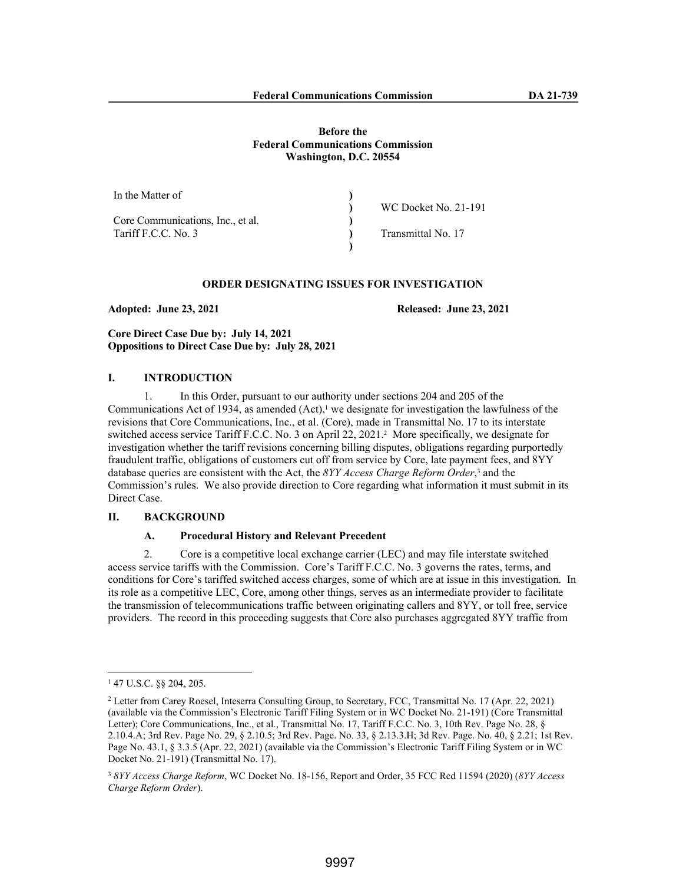| In the Matter of                  |                      |
|-----------------------------------|----------------------|
|                                   | WC Docket No. 21-191 |
| Core Communications, Inc., et al. |                      |
| Tariff F.C.C. No. 3               | Transmittal No. 17   |
|                                   |                      |

# **ORDER DESIGNATING ISSUES FOR INVESTIGATION**

**Adopted: June 23, 2021 Released: June 23, 2021**

**Core Direct Case Due by: July 14, 2021 Oppositions to Direct Case Due by: July 28, 2021** 

## **I. INTRODUCTION**

1. In this Order, pursuant to our authority under sections 204 and 205 of the Communications Act of 1934, as amended  $(Act)$ ,<sup>1</sup> we designate for investigation the lawfulness of the revisions that Core Communications, Inc., et al. (Core), made in Transmittal No. 17 to its interstate switched access service Tariff F.C.C. No. 3 on April 22, 2021.<sup>2</sup> More specifically, we designate for investigation whether the tariff revisions concerning billing disputes, obligations regarding purportedly fraudulent traffic, obligations of customers cut off from service by Core, late payment fees, and 8YY database queries are consistent with the Act, the 8YY Access Charge Reform Order,<sup>3</sup> and the Commission's rules. We also provide direction to Core regarding what information it must submit in its Direct Case.

# **II. BACKGROUND**

## **A. Procedural History and Relevant Precedent**

2. Core is a competitive local exchange carrier (LEC) and may file interstate switched access service tariffs with the Commission. Core's Tariff F.C.C. No. 3 governs the rates, terms, and conditions for Core's tariffed switched access charges, some of which are at issue in this investigation. In its role as a competitive LEC, Core, among other things, serves as an intermediate provider to facilitate the transmission of telecommunications traffic between originating callers and 8YY, or toll free, service providers. The record in this proceeding suggests that Core also purchases aggregated 8YY traffic from

<sup>1</sup> 47 U.S.C. §§ 204, 205.

<sup>&</sup>lt;sup>2</sup> Letter from Carey Roesel, Inteserra Consulting Group, to Secretary, FCC, Transmittal No. 17 (Apr. 22, 2021) (available via the Commission's Electronic Tariff Filing System or in WC Docket No. 21-191) (Core Transmittal Letter); Core Communications, Inc., et al., Transmittal No. 17, Tariff F.C.C. No. 3, 10th Rev. Page No. 28, § 2.10.4.A; 3rd Rev. Page No. 29, § 2.10.5; 3rd Rev. Page. No. 33, § 2.13.3.H; 3d Rev. Page. No. 40, § 2.21; 1st Rev. Page No. 43.1, § 3.3.5 (Apr. 22, 2021) (available via the Commission's Electronic Tariff Filing System or in WC Docket No. 21-191) (Transmittal No. 17).

<sup>3</sup> *8YY Access Charge Reform*, WC Docket No. 18-156, Report and Order, 35 FCC Rcd 11594 (2020) (*8YY Access Charge Reform Order*).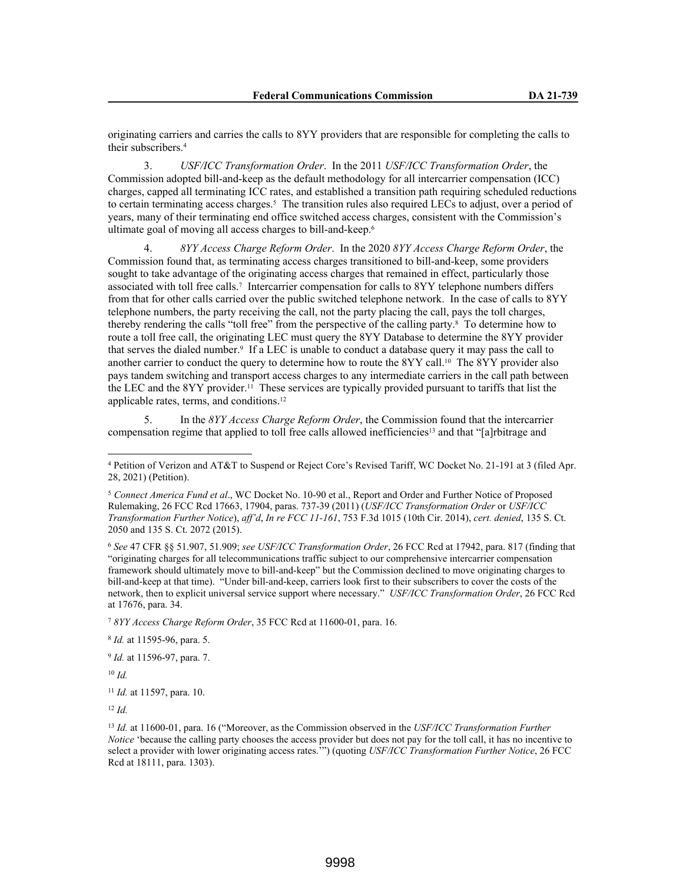originating carriers and carries the calls to 8YY providers that are responsible for completing the calls to their subscribers.<sup>4</sup>

3. *USF/ICC Transformation Order*. In the 2011 *USF/ICC Transformation Order*, the Commission adopted bill-and-keep as the default methodology for all intercarrier compensation (ICC) charges, capped all terminating ICC rates, and established a transition path requiring scheduled reductions to certain terminating access charges.<sup>5</sup> The transition rules also required LECs to adjust, over a period of years, many of their terminating end office switched access charges, consistent with the Commission's ultimate goal of moving all access charges to bill-and-keep.<sup>6</sup>

4. *8YY Access Charge Reform Order*. In the 2020 *8YY Access Charge Reform Order*, the Commission found that, as terminating access charges transitioned to bill-and-keep, some providers sought to take advantage of the originating access charges that remained in effect, particularly those associated with toll free calls.<sup>7</sup> Intercarrier compensation for calls to 8YY telephone numbers differs from that for other calls carried over the public switched telephone network. In the case of calls to 8YY telephone numbers, the party receiving the call, not the party placing the call, pays the toll charges, thereby rendering the calls "toll free" from the perspective of the calling party.<sup>8</sup> To determine how to route a toll free call, the originating LEC must query the 8YY Database to determine the 8YY provider that serves the dialed number.<sup>9</sup> If a LEC is unable to conduct a database query it may pass the call to another carrier to conduct the query to determine how to route the 8YY call.<sup>10</sup> The 8YY provider also pays tandem switching and transport access charges to any intermediate carriers in the call path between the LEC and the 8YY provider.11 These services are typically provided pursuant to tariffs that list the applicable rates, terms, and conditions.<sup>12</sup>

5. In the *8YY Access Charge Reform Order*, the Commission found that the intercarrier compensation regime that applied to toll free calls allowed inefficiencies<sup>13</sup> and that "[a]rbitrage and

9 *Id.* at 11596-97, para. 7.

<sup>10</sup> *Id.*

<sup>12</sup> *Id.*

<sup>4</sup> Petition of Verizon and AT&T to Suspend or Reject Core's Revised Tariff, WC Docket No. 21-191 at 3 (filed Apr. 28, 2021) (Petition).

<sup>5</sup> *Connect America Fund et al*., WC Docket No. 10-90 et al., Report and Order and Further Notice of Proposed Rulemaking, 26 FCC Rcd 17663, 17904, paras. 737-39 (2011) (*USF/ICC Transformation Order* or *USF/ICC Transformation Further Notice*), *aff'd*, *In re FCC 11-161*, 753 F.3d 1015 (10th Cir. 2014), *cert. denied*, 135 S. Ct. 2050 and 135 S. Ct. 2072 (2015).

<sup>6</sup> *See* 47 CFR §§ 51.907, 51.909; *see USF/ICC Transformation Order*, 26 FCC Rcd at 17942, para. 817 (finding that "originating charges for all telecommunications traffic subject to our comprehensive intercarrier compensation framework should ultimately move to bill-and-keep" but the Commission declined to move originating charges to bill-and-keep at that time). "Under bill-and-keep, carriers look first to their subscribers to cover the costs of the network, then to explicit universal service support where necessary." *USF/ICC Transformation Order*, 26 FCC Rcd at 17676, para. 34.

<sup>7</sup> *8YY Access Charge Reform Order*, 35 FCC Rcd at 11600-01, para. 16.

<sup>8</sup> *Id.* at 11595-96, para. 5.

<sup>11</sup> *Id.* at 11597, para. 10.

<sup>13</sup> *Id.* at 11600-01, para. 16 ("Moreover, as the Commission observed in the *USF/ICC Transformation Further Notice* 'because the calling party chooses the access provider but does not pay for the toll call, it has no incentive to select a provider with lower originating access rates.'") (quoting *USF/ICC Transformation Further Notice*, 26 FCC Rcd at 18111, para. 1303).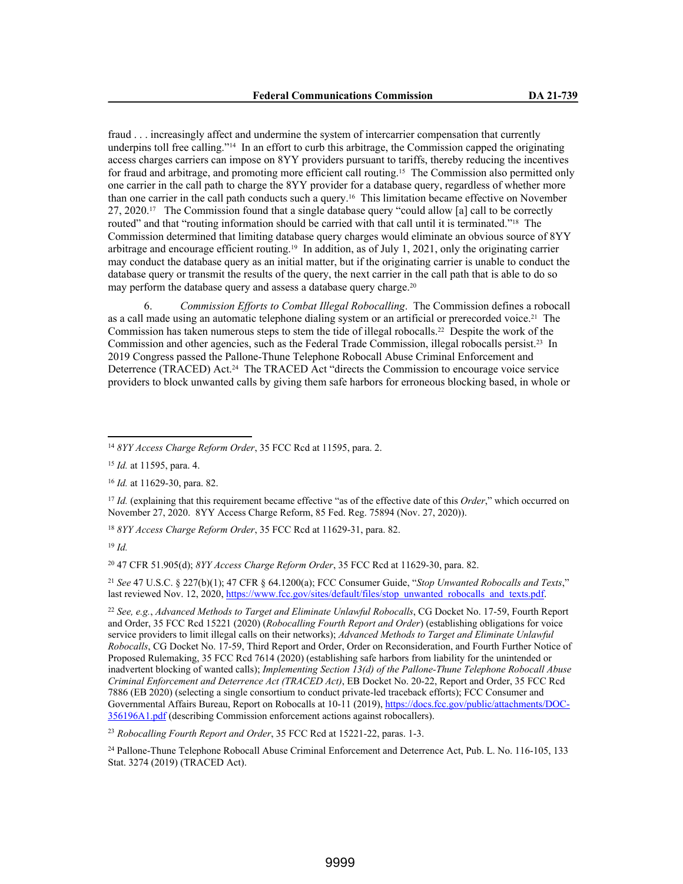fraud . . . increasingly affect and undermine the system of intercarrier compensation that currently underpins toll free calling."14 In an effort to curb this arbitrage, the Commission capped the originating access charges carriers can impose on 8YY providers pursuant to tariffs, thereby reducing the incentives for fraud and arbitrage, and promoting more efficient call routing.15 The Commission also permitted only one carrier in the call path to charge the 8YY provider for a database query, regardless of whether more than one carrier in the call path conducts such a query.16 This limitation became effective on November 27, 2020.17 The Commission found that a single database query "could allow [a] call to be correctly routed" and that "routing information should be carried with that call until it is terminated."<sup>18</sup> The Commission determined that limiting database query charges would eliminate an obvious source of 8YY arbitrage and encourage efficient routing.19 In addition, as of July 1, 2021, only the originating carrier may conduct the database query as an initial matter, but if the originating carrier is unable to conduct the database query or transmit the results of the query, the next carrier in the call path that is able to do so may perform the database query and assess a database query charge.<sup>20</sup>

6. *Commission Efforts to Combat Illegal Robocalling*. The Commission defines a robocall as a call made using an automatic telephone dialing system or an artificial or prerecorded voice.<sup>21</sup> The Commission has taken numerous steps to stem the tide of illegal robocalls.22 Despite the work of the Commission and other agencies, such as the Federal Trade Commission, illegal robocalls persist.23 In 2019 Congress passed the Pallone-Thune Telephone Robocall Abuse Criminal Enforcement and Deterrence (TRACED) Act.<sup>24</sup> The TRACED Act "directs the Commission to encourage voice service providers to block unwanted calls by giving them safe harbors for erroneous blocking based, in whole or

<sup>18</sup> *8YY Access Charge Reform Order*, 35 FCC Rcd at 11629-31, para. 82.

<sup>19</sup> *Id.*

<sup>20</sup> 47 CFR 51.905(d); *8YY Access Charge Reform Order*, 35 FCC Rcd at 11629-30, para. 82.

<sup>21</sup> *See* 47 U.S.C. § 227(b)(1); 47 CFR § 64.1200(a); FCC Consumer Guide, "*Stop Unwanted Robocalls and Texts*," last reviewed Nov. 12, 2020, https://www.fcc.gov/sites/default/files/stop\_unwanted\_robocalls\_and\_texts.pdf.

<sup>22</sup> *See, e.g.*, *Advanced Methods to Target and Eliminate Unlawful Robocalls*, CG Docket No. 17-59, Fourth Report and Order, 35 FCC Rcd 15221 (2020) (*Robocalling Fourth Report and Order*) (establishing obligations for voice service providers to limit illegal calls on their networks); *Advanced Methods to Target and Eliminate Unlawful Robocalls*, CG Docket No. 17-59, Third Report and Order, Order on Reconsideration, and Fourth Further Notice of Proposed Rulemaking, 35 FCC Rcd 7614 (2020) (establishing safe harbors from liability for the unintended or inadvertent blocking of wanted calls); *Implementing Section 13(d) of the Pallone-Thune Telephone Robocall Abuse Criminal Enforcement and Deterrence Act (TRACED Act)*, EB Docket No. 20-22, Report and Order, 35 FCC Rcd 7886 (EB 2020) (selecting a single consortium to conduct private-led traceback efforts); FCC Consumer and Governmental Affairs Bureau, Report on Robocalls at 10-11 (2019), https://docs.fcc.gov/public/attachments/DOC-356196A1.pdf (describing Commission enforcement actions against robocallers).

<sup>23</sup> *Robocalling Fourth Report and Order*, 35 FCC Rcd at 15221-22, paras. 1-3.

<sup>24</sup> Pallone-Thune Telephone Robocall Abuse Criminal Enforcement and Deterrence Act, Pub. L. No. 116-105, 133 Stat. 3274 (2019) (TRACED Act).

<sup>14</sup> *8YY Access Charge Reform Order*, 35 FCC Rcd at 11595, para. 2.

<sup>15</sup> *Id.* at 11595, para. 4.

<sup>16</sup> *Id.* at 11629-30, para. 82.

<sup>17</sup> *Id.* (explaining that this requirement became effective "as of the effective date of this *Order*," which occurred on November 27, 2020. 8YY Access Charge Reform, 85 Fed. Reg. 75894 (Nov. 27, 2020)).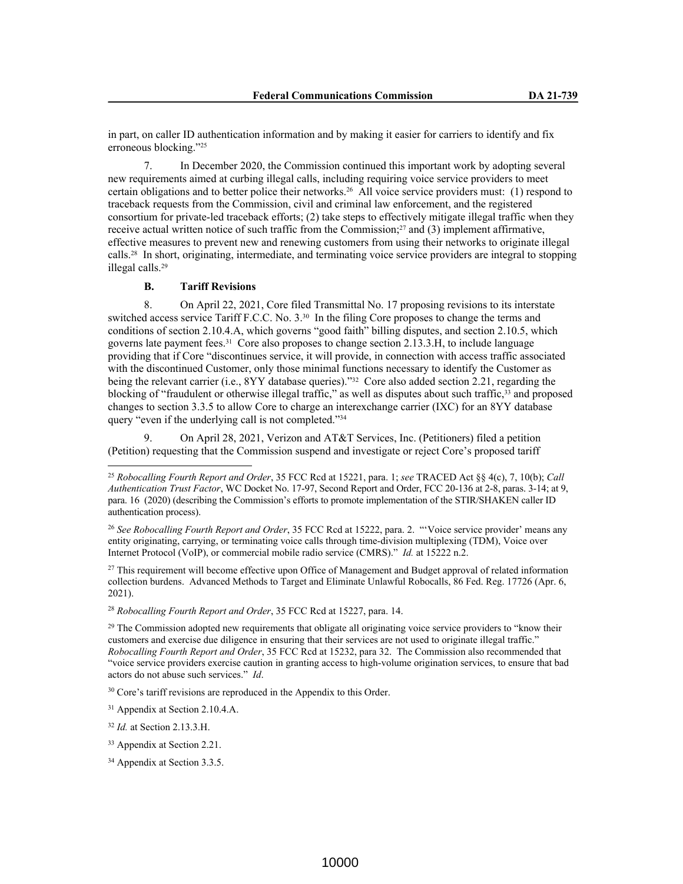in part, on caller ID authentication information and by making it easier for carriers to identify and fix erroneous blocking."<sup>25</sup>

7. In December 2020, the Commission continued this important work by adopting several new requirements aimed at curbing illegal calls, including requiring voice service providers to meet certain obligations and to better police their networks.26 All voice service providers must: (1) respond to traceback requests from the Commission, civil and criminal law enforcement, and the registered consortium for private-led traceback efforts; (2) take steps to effectively mitigate illegal traffic when they receive actual written notice of such traffic from the Commission;27 and (3) implement affirmative, effective measures to prevent new and renewing customers from using their networks to originate illegal calls.28 In short, originating, intermediate, and terminating voice service providers are integral to stopping illegal calls.<sup>29</sup>

## **B. Tariff Revisions**

8. On April 22, 2021, Core filed Transmittal No. 17 proposing revisions to its interstate switched access service Tariff F.C.C. No. 3.30 In the filing Core proposes to change the terms and conditions of section 2.10.4.A, which governs "good faith" billing disputes, and section 2.10.5, which governs late payment fees.31 Core also proposes to change section 2.13.3.H, to include language providing that if Core "discontinues service, it will provide, in connection with access traffic associated with the discontinued Customer, only those minimal functions necessary to identify the Customer as being the relevant carrier (i.e., 8YY database queries)."<sup>32</sup> Core also added section 2.21, regarding the blocking of "fraudulent or otherwise illegal traffic," as well as disputes about such traffic,<sup>33</sup> and proposed changes to section 3.3.5 to allow Core to charge an interexchange carrier (IXC) for an 8YY database query "even if the underlying call is not completed."<sup>34</sup>

9. On April 28, 2021, Verizon and AT&T Services, Inc. (Petitioners) filed a petition (Petition) requesting that the Commission suspend and investigate or reject Core's proposed tariff

<sup>27</sup> This requirement will become effective upon Office of Management and Budget approval of related information collection burdens. Advanced Methods to Target and Eliminate Unlawful Robocalls, 86 Fed. Reg. 17726 (Apr. 6, 2021).

<sup>28</sup> *Robocalling Fourth Report and Order*, 35 FCC Rcd at 15227, para. 14.

<sup>29</sup> The Commission adopted new requirements that obligate all originating voice service providers to "know their customers and exercise due diligence in ensuring that their services are not used to originate illegal traffic." *Robocalling Fourth Report and Order*, 35 FCC Rcd at 15232, para 32. The Commission also recommended that "voice service providers exercise caution in granting access to high-volume origination services, to ensure that bad actors do not abuse such services." *Id*.

<sup>30</sup> Core's tariff revisions are reproduced in the Appendix to this Order.

<sup>25</sup> *Robocalling Fourth Report and Order*, 35 FCC Rcd at 15221, para. 1; *see* TRACED Act §§ 4(c), 7, 10(b); *Call Authentication Trust Factor*, WC Docket No. 17-97, Second Report and Order, FCC 20-136 at 2-8, paras. 3-14; at 9, para. 16 (2020) (describing the Commission's efforts to promote implementation of the STIR/SHAKEN caller ID authentication process).

<sup>26</sup> *See Robocalling Fourth Report and Order*, 35 FCC Rcd at 15222, para. 2. "'Voice service provider' means any entity originating, carrying, or terminating voice calls through time-division multiplexing (TDM), Voice over Internet Protocol (VoIP), or commercial mobile radio service (CMRS)." *Id.* at 15222 n.2.

<sup>31</sup> Appendix at Section 2.10.4.A.

<sup>32</sup> *Id.* at Section 2.13.3.H.

<sup>33</sup> Appendix at Section 2.21.

<sup>34</sup> Appendix at Section 3.3.5.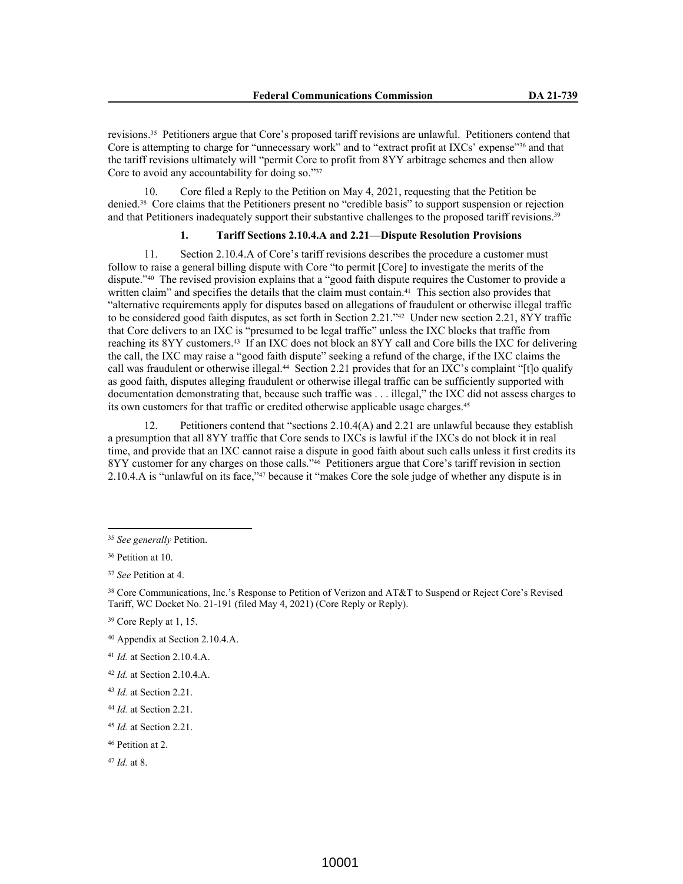revisions.35 Petitioners argue that Core's proposed tariff revisions are unlawful. Petitioners contend that Core is attempting to charge for "unnecessary work" and to "extract profit at IXCs' expense"36 and that the tariff revisions ultimately will "permit Core to profit from 8YY arbitrage schemes and then allow Core to avoid any accountability for doing so."37

10. Core filed a Reply to the Petition on May 4, 2021, requesting that the Petition be denied.38 Core claims that the Petitioners present no "credible basis" to support suspension or rejection and that Petitioners inadequately support their substantive challenges to the proposed tariff revisions.<sup>39</sup>

## **1. Tariff Sections 2.10.4.A and 2.21—Dispute Resolution Provisions**

11. Section 2.10.4.A of Core's tariff revisions describes the procedure a customer must follow to raise a general billing dispute with Core "to permit [Core] to investigate the merits of the dispute."40 The revised provision explains that a "good faith dispute requires the Customer to provide a written claim" and specifies the details that the claim must contain.<sup>41</sup> This section also provides that "alternative requirements apply for disputes based on allegations of fraudulent or otherwise illegal traffic to be considered good faith disputes, as set forth in Section 2.21."42 Under new section 2.21, 8YY traffic that Core delivers to an IXC is "presumed to be legal traffic" unless the IXC blocks that traffic from reaching its 8YY customers.43 If an IXC does not block an 8YY call and Core bills the IXC for delivering the call, the IXC may raise a "good faith dispute" seeking a refund of the charge, if the IXC claims the call was fraudulent or otherwise illegal.<sup>44</sup> Section 2.21 provides that for an IXC's complaint "[t]o qualify as good faith, disputes alleging fraudulent or otherwise illegal traffic can be sufficiently supported with documentation demonstrating that, because such traffic was . . . illegal," the IXC did not assess charges to its own customers for that traffic or credited otherwise applicable usage charges.<sup>45</sup>

12. Petitioners contend that "sections 2.10.4(A) and 2.21 are unlawful because they establish a presumption that all 8YY traffic that Core sends to IXCs is lawful if the IXCs do not block it in real time, and provide that an IXC cannot raise a dispute in good faith about such calls unless it first credits its 8YY customer for any charges on those calls."46 Petitioners argue that Core's tariff revision in section 2.10.4.A is "unlawful on its face,"47 because it "makes Core the sole judge of whether any dispute is in

<sup>47</sup> *Id.* at 8.

<sup>35</sup> *See generally* Petition.

<sup>36</sup> Petition at 10.

<sup>37</sup> *See* Petition at 4.

<sup>38</sup> Core Communications, Inc.'s Response to Petition of Verizon and AT&T to Suspend or Reject Core's Revised Tariff, WC Docket No. 21-191 (filed May 4, 2021) (Core Reply or Reply).

<sup>39</sup> Core Reply at 1, 15.

<sup>40</sup> Appendix at Section 2.10.4.A.

<sup>41</sup> *Id.* at Section 2.10.4.A.

<sup>42</sup> *Id.* at Section 2.10.4.A.

<sup>43</sup> *Id.* at Section 2.21.

<sup>44</sup> *Id.* at Section 2.21.

<sup>45</sup> *Id.* at Section 2.21.

<sup>46</sup> Petition at 2.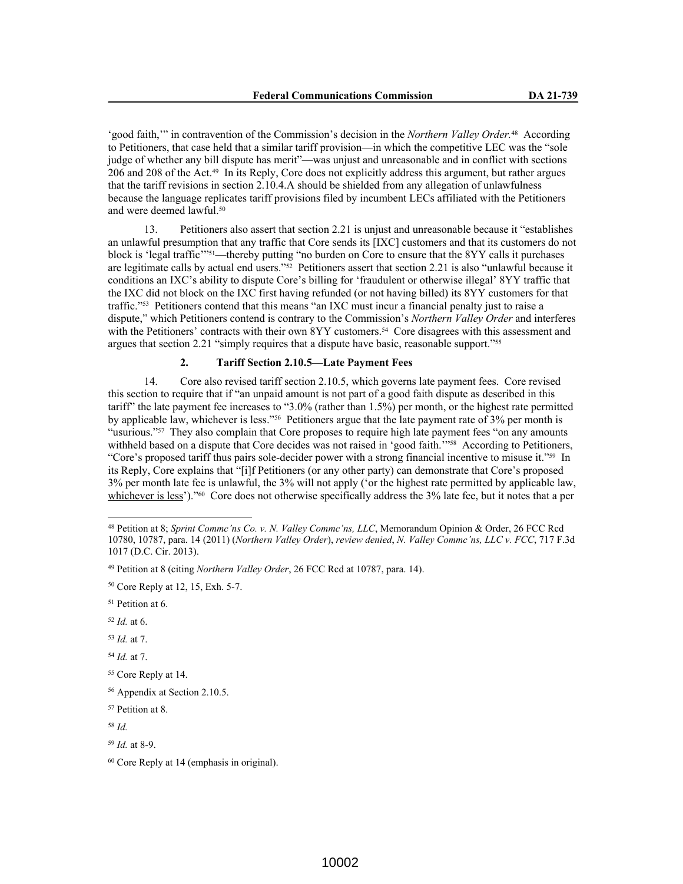'good faith,'" in contravention of the Commission's decision in the *Northern Valley Order*.<sup>48</sup> According to Petitioners, that case held that a similar tariff provision—in which the competitive LEC was the "sole judge of whether any bill dispute has merit"—was unjust and unreasonable and in conflict with sections 206 and 208 of the Act.49 In its Reply, Core does not explicitly address this argument, but rather argues that the tariff revisions in section 2.10.4.A should be shielded from any allegation of unlawfulness because the language replicates tariff provisions filed by incumbent LECs affiliated with the Petitioners and were deemed lawful.<sup>50</sup>

13. Petitioners also assert that section 2.21 is unjust and unreasonable because it "establishes an unlawful presumption that any traffic that Core sends its [IXC] customers and that its customers do not block is 'legal traffic'"51—thereby putting "no burden on Core to ensure that the 8YY calls it purchases are legitimate calls by actual end users."52 Petitioners assert that section 2.21 is also "unlawful because it conditions an IXC's ability to dispute Core's billing for 'fraudulent or otherwise illegal' 8YY traffic that the IXC did not block on the IXC first having refunded (or not having billed) its 8YY customers for that traffic."53 Petitioners contend that this means "an IXC must incur a financial penalty just to raise a dispute," which Petitioners contend is contrary to the Commission's *Northern Valley Order* and interferes with the Petitioners' contracts with their own 8YY customers.<sup>54</sup> Core disagrees with this assessment and argues that section 2.21 "simply requires that a dispute have basic, reasonable support."<sup>55</sup>

# **2. Tariff Section 2.10.5—Late Payment Fees**

14. Core also revised tariff section 2.10.5, which governs late payment fees. Core revised this section to require that if "an unpaid amount is not part of a good faith dispute as described in this tariff" the late payment fee increases to "3.0% (rather than 1.5%) per month, or the highest rate permitted by applicable law, whichever is less."56 Petitioners argue that the late payment rate of 3% per month is "usurious."<sup>57</sup> They also complain that Core proposes to require high late payment fees "on any amounts" withheld based on a dispute that Core decides was not raised in 'good faith.'"<sup>58</sup> According to Petitioners, "Core's proposed tariff thus pairs sole-decider power with a strong financial incentive to misuse it."59 In its Reply, Core explains that "[i]f Petitioners (or any other party) can demonstrate that Core's proposed 3% per month late fee is unlawful, the 3% will not apply ('or the highest rate permitted by applicable law, whichever is less')."<sup>60</sup> Core does not otherwise specifically address the 3% late fee, but it notes that a per

- <sup>52</sup> *Id.* at 6.
- <sup>53</sup> *Id.* at 7.
- <sup>54</sup> *Id.* at 7.

<sup>58</sup> *Id.*

<sup>59</sup> *Id.* at 8-9.

<sup>48</sup> Petition at 8; *Sprint Commc'ns Co. v. N. Valley Commc'ns, LLC*, Memorandum Opinion & Order, 26 FCC Rcd 10780, 10787, para. 14 (2011) (*Northern Valley Order*), *review denied*, *N. Valley Commc'ns, LLC v. FCC*, 717 F.3d 1017 (D.C. Cir. 2013).

<sup>49</sup> Petition at 8 (citing *Northern Valley Order*, 26 FCC Rcd at 10787, para. 14).

<sup>50</sup> Core Reply at 12, 15, Exh. 5-7.

<sup>51</sup> Petition at 6.

<sup>55</sup> Core Reply at 14.

<sup>56</sup> Appendix at Section 2.10.5.

<sup>57</sup> Petition at 8.

<sup>60</sup> Core Reply at 14 (emphasis in original).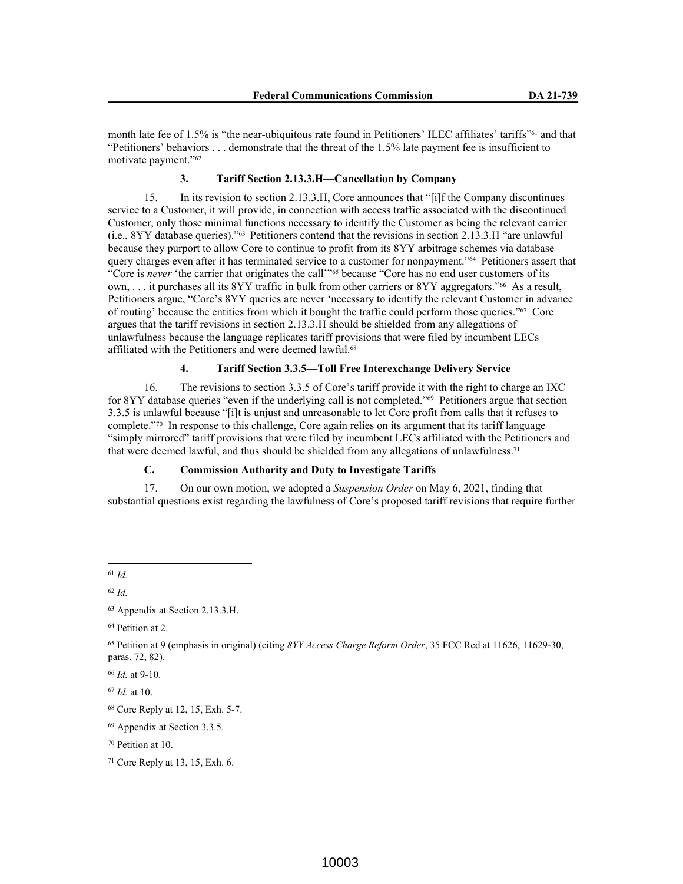month late fee of 1.5% is "the near-ubiquitous rate found in Petitioners' ILEC affiliates' tariffs"61 and that "Petitioners' behaviors . . . demonstrate that the threat of the 1.5% late payment fee is insufficient to motivate payment."<sup>62</sup>

### **3. Tariff Section 2.13.3.H—Cancellation by Company**

15. In its revision to section 2.13.3.H, Core announces that "[i]f the Company discontinues service to a Customer, it will provide, in connection with access traffic associated with the discontinued Customer, only those minimal functions necessary to identify the Customer as being the relevant carrier (i.e., 8YY database queries)."63 Petitioners contend that the revisions in section 2.13.3.H "are unlawful because they purport to allow Core to continue to profit from its 8YY arbitrage schemes via database query charges even after it has terminated service to a customer for nonpayment."64 Petitioners assert that "Core is *never* 'the carrier that originates the call'"65 because "Core has no end user customers of its own, . . . it purchases all its 8YY traffic in bulk from other carriers or 8YY aggregators."66 As a result, Petitioners argue, "Core's 8YY queries are never 'necessary to identify the relevant Customer in advance of routing' because the entities from which it bought the traffic could perform those queries."67 Core argues that the tariff revisions in section 2.13.3.H should be shielded from any allegations of unlawfulness because the language replicates tariff provisions that were filed by incumbent LECs affiliated with the Petitioners and were deemed lawful.<sup>68</sup>

# **4. Tariff Section 3.3.5—Toll Free Interexchange Delivery Service**

16. The revisions to section 3.3.5 of Core's tariff provide it with the right to charge an IXC for 8YY database queries "even if the underlying call is not completed."69 Petitioners argue that section 3.3.5 is unlawful because "[i]t is unjust and unreasonable to let Core profit from calls that it refuses to complete."70 In response to this challenge, Core again relies on its argument that its tariff language "simply mirrored" tariff provisions that were filed by incumbent LECs affiliated with the Petitioners and that were deemed lawful, and thus should be shielded from any allegations of unlawfulness.<sup>71</sup>

# **C. Commission Authority and Duty to Investigate Tariffs**

17. On our own motion, we adopted a *Suspension Order* on May 6, 2021, finding that substantial questions exist regarding the lawfulness of Core's proposed tariff revisions that require further

<sup>61</sup> *Id.*

<sup>62</sup> *Id.*

<sup>64</sup> Petition at 2.

<sup>63</sup> Appendix at Section 2.13.3.H.

<sup>65</sup> Petition at 9 (emphasis in original) (citing *8YY Access Charge Reform Order*, 35 FCC Rcd at 11626, 11629-30, paras. 72, 82).

<sup>66</sup> *Id.* at 9-10.

<sup>67</sup> *Id.* at 10.

<sup>68</sup> Core Reply at 12, 15, Exh. 5-7.

<sup>69</sup> Appendix at Section 3.3.5.

<sup>70</sup> Petition at 10.

 $71$  Core Reply at 13, 15, Exh. 6.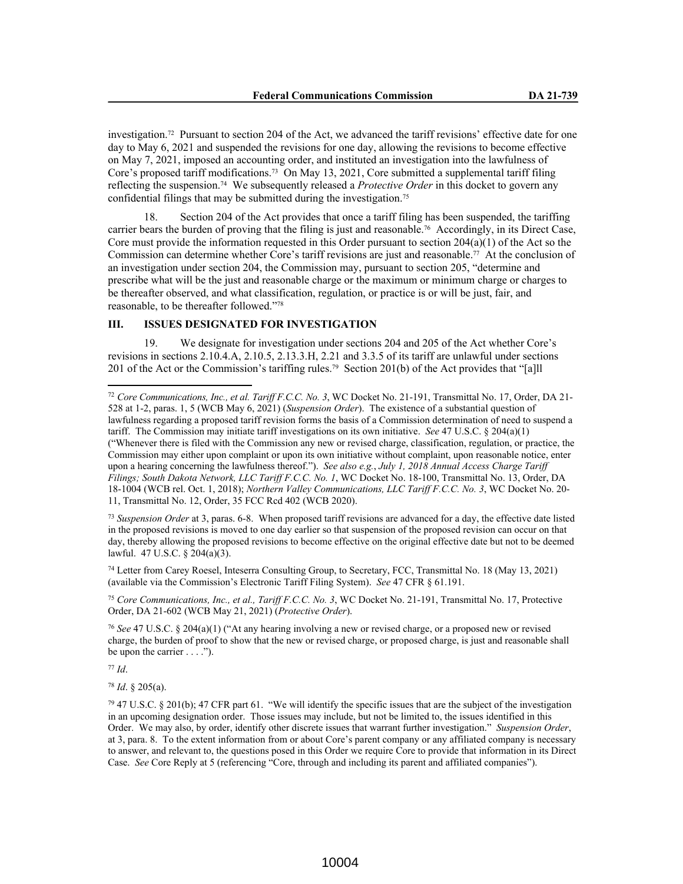investigation.72 Pursuant to section 204 of the Act, we advanced the tariff revisions' effective date for one day to May 6, 2021 and suspended the revisions for one day, allowing the revisions to become effective on May 7, 2021, imposed an accounting order, and instituted an investigation into the lawfulness of Core's proposed tariff modifications.73 On May 13, 2021, Core submitted a supplemental tariff filing reflecting the suspension.74 We subsequently released a *Protective Order* in this docket to govern any confidential filings that may be submitted during the investigation.<sup>75</sup>

18. Section 204 of the Act provides that once a tariff filing has been suspended, the tariffing carrier bears the burden of proving that the filing is just and reasonable.76 Accordingly, in its Direct Case, Core must provide the information requested in this Order pursuant to section  $204(a)(1)$  of the Act so the Commission can determine whether Core's tariff revisions are just and reasonable.77 At the conclusion of an investigation under section 204, the Commission may, pursuant to section 205, "determine and prescribe what will be the just and reasonable charge or the maximum or minimum charge or charges to be thereafter observed, and what classification, regulation, or practice is or will be just, fair, and reasonable, to be thereafter followed."<sup>78</sup>

## **III. ISSUES DESIGNATED FOR INVESTIGATION**

19. We designate for investigation under sections 204 and 205 of the Act whether Core's revisions in sections 2.10.4.A, 2.10.5, 2.13.3.H, 2.21 and 3.3.5 of its tariff are unlawful under sections 201 of the Act or the Commission's tariffing rules.79 Section 201(b) of the Act provides that "[a]ll

<sup>73</sup> *Suspension Order* at 3, paras. 6-8. When proposed tariff revisions are advanced for a day, the effective date listed in the proposed revisions is moved to one day earlier so that suspension of the proposed revision can occur on that day, thereby allowing the proposed revisions to become effective on the original effective date but not to be deemed lawful. 47 U.S.C. § 204(a)(3).

<sup>74</sup> Letter from Carey Roesel, Inteserra Consulting Group, to Secretary, FCC, Transmittal No. 18 (May 13, 2021) (available via the Commission's Electronic Tariff Filing System). *See* 47 CFR § 61.191.

<sup>75</sup> *Core Communications, Inc., et al., Tariff F.C.C. No. 3*, WC Docket No. 21-191, Transmittal No. 17, Protective Order, DA 21-602 (WCB May 21, 2021) (*Protective Order*).

<sup>76</sup> *See* 47 U.S.C. § 204(a)(1) ("At any hearing involving a new or revised charge, or a proposed new or revised charge, the burden of proof to show that the new or revised charge, or proposed charge, is just and reasonable shall be upon the carrier  $\dots$ .").

<sup>77</sup> *Id*.

<sup>78</sup> *Id*. § 205(a).

 $79$  47 U.S.C. § 201(b); 47 CFR part 61. "We will identify the specific issues that are the subject of the investigation in an upcoming designation order. Those issues may include, but not be limited to, the issues identified in this Order. We may also, by order, identify other discrete issues that warrant further investigation." *Suspension Order*, at 3, para. 8. To the extent information from or about Core's parent company or any affiliated company is necessary to answer, and relevant to, the questions posed in this Order we require Core to provide that information in its Direct Case. *See* Core Reply at 5 (referencing "Core, through and including its parent and affiliated companies").

<sup>72</sup> *Core Communications, Inc., et al. Tariff F.C.C. No. 3*, WC Docket No. 21-191, Transmittal No. 17, Order, DA 21- 528 at 1-2, paras. 1, 5 (WCB May 6, 2021) (*Suspension Order*). The existence of a substantial question of lawfulness regarding a proposed tariff revision forms the basis of a Commission determination of need to suspend a tariff. The Commission may initiate tariff investigations on its own initiative. *See* 47 U.S.C. § 204(a)(1) ("Whenever there is filed with the Commission any new or revised charge, classification, regulation, or practice, the Commission may either upon complaint or upon its own initiative without complaint, upon reasonable notice, enter upon a hearing concerning the lawfulness thereof."). *See also e.g.*, *July 1, 2018 Annual Access Charge Tariff Filings; South Dakota Network, LLC Tariff F.C.C. No. 1*, WC Docket No. 18-100, Transmittal No. 13, Order, DA 18-1004 (WCB rel. Oct. 1, 2018); *Northern Valley Communications, LLC Tariff F.C.C. No. 3*, WC Docket No. 20- 11, Transmittal No. 12, Order, 35 FCC Rcd 402 (WCB 2020).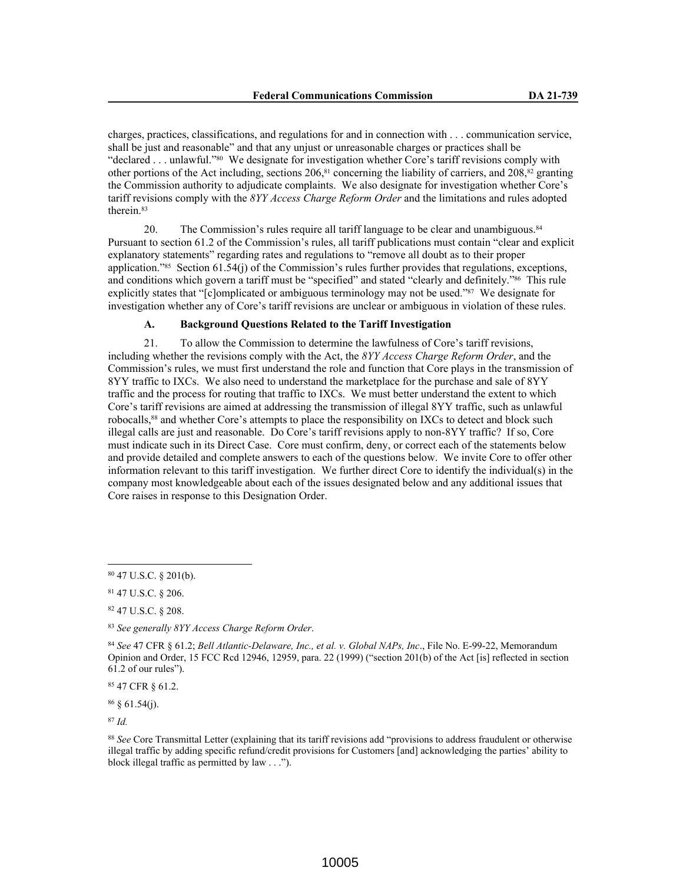charges, practices, classifications, and regulations for and in connection with . . . communication service, shall be just and reasonable" and that any unjust or unreasonable charges or practices shall be "declared . . . unlawful."80 We designate for investigation whether Core's tariff revisions comply with other portions of the Act including, sections  $206$ ,  $81$  concerning the liability of carriers, and  $208$ ,  $82$  granting the Commission authority to adjudicate complaints. We also designate for investigation whether Core's tariff revisions comply with the *8YY Access Charge Reform Order* and the limitations and rules adopted therein.<sup>83</sup>

20. The Commission's rules require all tariff language to be clear and unambiguous.<sup>84</sup> Pursuant to section 61.2 of the Commission's rules, all tariff publications must contain "clear and explicit explanatory statements" regarding rates and regulations to "remove all doubt as to their proper application."85 Section 61.54(j) of the Commission's rules further provides that regulations, exceptions, and conditions which govern a tariff must be "specified" and stated "clearly and definitely."86 This rule explicitly states that "[c]omplicated or ambiguous terminology may not be used."87 We designate for investigation whether any of Core's tariff revisions are unclear or ambiguous in violation of these rules.

# **A. Background Questions Related to the Tariff Investigation**

21. To allow the Commission to determine the lawfulness of Core's tariff revisions, including whether the revisions comply with the Act, the *8YY Access Charge Reform Order*, and the Commission's rules, we must first understand the role and function that Core plays in the transmission of 8YY traffic to IXCs. We also need to understand the marketplace for the purchase and sale of 8YY traffic and the process for routing that traffic to IXCs. We must better understand the extent to which Core's tariff revisions are aimed at addressing the transmission of illegal 8YY traffic, such as unlawful robocalls,88 and whether Core's attempts to place the responsibility on IXCs to detect and block such illegal calls are just and reasonable. Do Core's tariff revisions apply to non-8YY traffic? If so, Core must indicate such in its Direct Case. Core must confirm, deny, or correct each of the statements below and provide detailed and complete answers to each of the questions below. We invite Core to offer other information relevant to this tariff investigation. We further direct Core to identify the individual(s) in the company most knowledgeable about each of the issues designated below and any additional issues that Core raises in response to this Designation Order.

<sup>85</sup> 47 CFR § 61.2.

 $86 \& 61.54(i)$ .

<sup>87</sup> *Id.*

<sup>80</sup> 47 U.S.C. § 201(b).

<sup>81</sup> 47 U.S.C. § 206.

<sup>82</sup> 47 U.S.C. § 208.

<sup>83</sup> *See generally 8YY Access Charge Reform Order*.

<sup>84</sup> *See* 47 CFR § 61.2; *Bell Atlantic-Delaware, Inc., et al. v. Global NAPs, Inc*., File No. E-99-22, Memorandum Opinion and Order, 15 FCC Rcd 12946, 12959, para. 22 (1999) ("section 201(b) of the Act [is] reflected in section 61.2 of our rules").

<sup>88</sup> *See* Core Transmittal Letter (explaining that its tariff revisions add "provisions to address fraudulent or otherwise illegal traffic by adding specific refund/credit provisions for Customers [and] acknowledging the parties' ability to block illegal traffic as permitted by law . . .").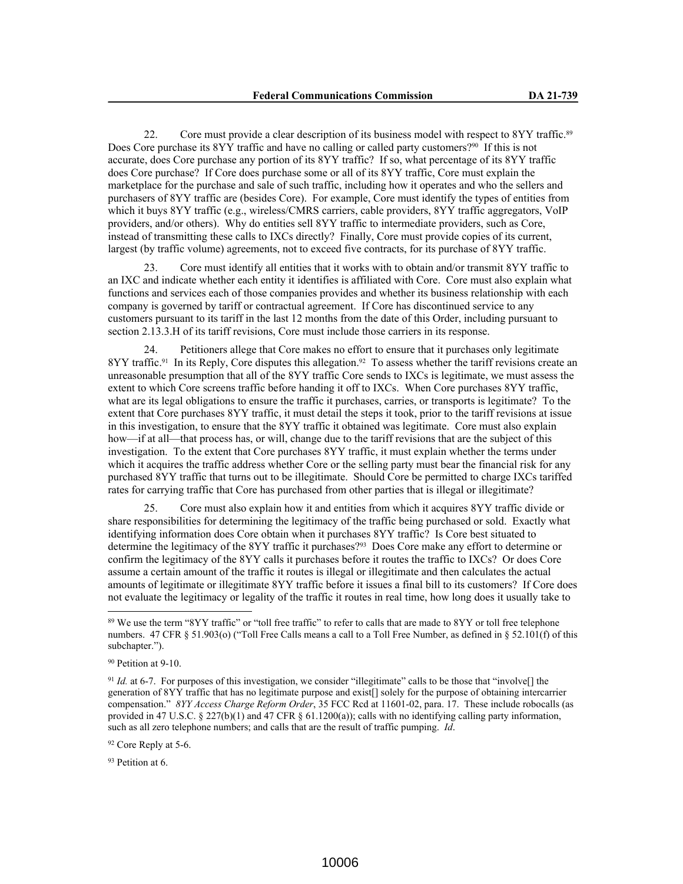22. Core must provide a clear description of its business model with respect to 8YY traffic.<sup>89</sup> Does Core purchase its 8YY traffic and have no calling or called party customers?<sup>90</sup> If this is not accurate, does Core purchase any portion of its 8YY traffic? If so, what percentage of its 8YY traffic does Core purchase? If Core does purchase some or all of its 8YY traffic, Core must explain the marketplace for the purchase and sale of such traffic, including how it operates and who the sellers and purchasers of 8YY traffic are (besides Core). For example, Core must identify the types of entities from which it buys 8YY traffic (e.g., wireless/CMRS carriers, cable providers, 8YY traffic aggregators, VoIP providers, and/or others). Why do entities sell 8YY traffic to intermediate providers, such as Core, instead of transmitting these calls to IXCs directly? Finally, Core must provide copies of its current, largest (by traffic volume) agreements, not to exceed five contracts, for its purchase of 8YY traffic.

23. Core must identify all entities that it works with to obtain and/or transmit 8YY traffic to an IXC and indicate whether each entity it identifies is affiliated with Core. Core must also explain what functions and services each of those companies provides and whether its business relationship with each company is governed by tariff or contractual agreement. If Core has discontinued service to any customers pursuant to its tariff in the last 12 months from the date of this Order, including pursuant to section 2.13.3.H of its tariff revisions, Core must include those carriers in its response.

24. Petitioners allege that Core makes no effort to ensure that it purchases only legitimate 8YY traffic.<sup>91</sup> In its Reply, Core disputes this allegation.<sup>92</sup> To assess whether the tariff revisions create an unreasonable presumption that all of the 8YY traffic Core sends to IXCs is legitimate, we must assess the extent to which Core screens traffic before handing it off to IXCs. When Core purchases 8YY traffic, what are its legal obligations to ensure the traffic it purchases, carries, or transports is legitimate? To the extent that Core purchases 8YY traffic, it must detail the steps it took, prior to the tariff revisions at issue in this investigation, to ensure that the 8YY traffic it obtained was legitimate. Core must also explain how—if at all—that process has, or will, change due to the tariff revisions that are the subject of this investigation. To the extent that Core purchases 8YY traffic, it must explain whether the terms under which it acquires the traffic address whether Core or the selling party must bear the financial risk for any purchased 8YY traffic that turns out to be illegitimate. Should Core be permitted to charge IXCs tariffed rates for carrying traffic that Core has purchased from other parties that is illegal or illegitimate?

25. Core must also explain how it and entities from which it acquires 8YY traffic divide or share responsibilities for determining the legitimacy of the traffic being purchased or sold. Exactly what identifying information does Core obtain when it purchases 8YY traffic? Is Core best situated to determine the legitimacy of the 8YY traffic it purchases?93 Does Core make any effort to determine or confirm the legitimacy of the 8YY calls it purchases before it routes the traffic to IXCs? Or does Core assume a certain amount of the traffic it routes is illegal or illegitimate and then calculates the actual amounts of legitimate or illegitimate 8YY traffic before it issues a final bill to its customers? If Core does not evaluate the legitimacy or legality of the traffic it routes in real time, how long does it usually take to

<sup>92</sup> Core Reply at 5-6.

<sup>93</sup> Petition at 6.

<sup>&</sup>lt;sup>89</sup> We use the term "8YY traffic" or "toll free traffic" to refer to calls that are made to 8YY or toll free telephone numbers. 47 CFR § 51.903(o) ("Toll Free Calls means a call to a Toll Free Number, as defined in § 52.101(f) of this subchapter.").

<sup>90</sup> Petition at 9-10.

<sup>91</sup> *Id.* at 6-7. For purposes of this investigation, we consider "illegitimate" calls to be those that "involve[] the generation of 8YY traffic that has no legitimate purpose and exist[] solely for the purpose of obtaining intercarrier compensation." *8YY Access Charge Reform Order*, 35 FCC Rcd at 11601-02, para. 17. These include robocalls (as provided in 47 U.S.C. § 227(b)(1) and 47 CFR § 61.1200(a)); calls with no identifying calling party information, such as all zero telephone numbers; and calls that are the result of traffic pumping. *Id*.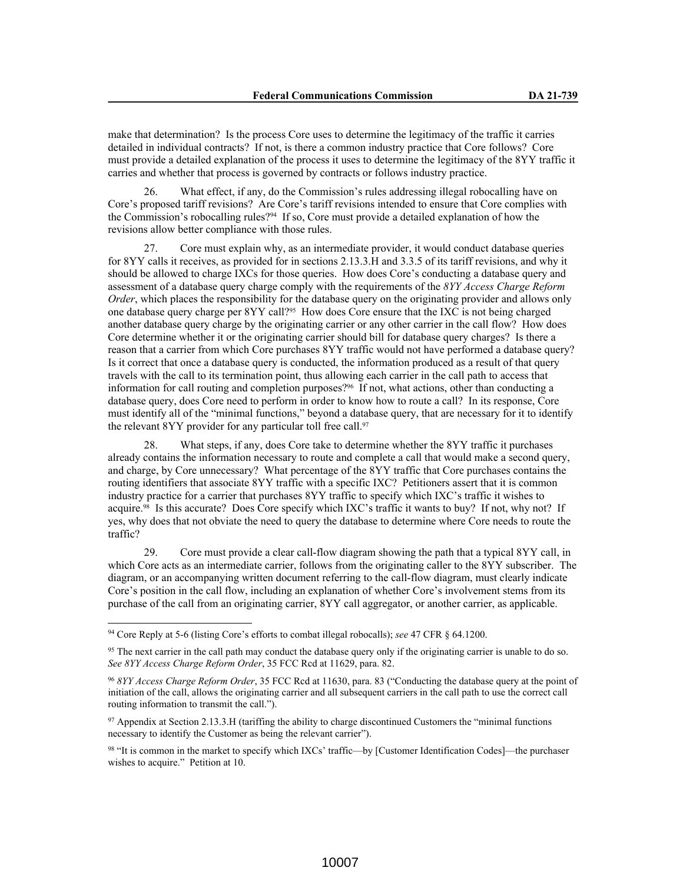make that determination? Is the process Core uses to determine the legitimacy of the traffic it carries detailed in individual contracts? If not, is there a common industry practice that Core follows? Core must provide a detailed explanation of the process it uses to determine the legitimacy of the 8YY traffic it carries and whether that process is governed by contracts or follows industry practice.

26. What effect, if any, do the Commission's rules addressing illegal robocalling have on Core's proposed tariff revisions? Are Core's tariff revisions intended to ensure that Core complies with the Commission's robocalling rules?94 If so, Core must provide a detailed explanation of how the revisions allow better compliance with those rules.

27. Core must explain why, as an intermediate provider, it would conduct database queries for 8YY calls it receives, as provided for in sections 2.13.3.H and 3.3.5 of its tariff revisions, and why it should be allowed to charge IXCs for those queries. How does Core's conducting a database query and assessment of a database query charge comply with the requirements of the *8YY Access Charge Reform Order*, which places the responsibility for the database query on the originating provider and allows only one database query charge per 8YY call?95 How does Core ensure that the IXC is not being charged another database query charge by the originating carrier or any other carrier in the call flow? How does Core determine whether it or the originating carrier should bill for database query charges? Is there a reason that a carrier from which Core purchases 8YY traffic would not have performed a database query? Is it correct that once a database query is conducted, the information produced as a result of that query travels with the call to its termination point, thus allowing each carrier in the call path to access that information for call routing and completion purposes?96 If not, what actions, other than conducting a database query, does Core need to perform in order to know how to route a call? In its response, Core must identify all of the "minimal functions," beyond a database query, that are necessary for it to identify the relevant 8YY provider for any particular toll free call.<sup>97</sup>

What steps, if any, does Core take to determine whether the 8YY traffic it purchases already contains the information necessary to route and complete a call that would make a second query, and charge, by Core unnecessary? What percentage of the 8YY traffic that Core purchases contains the routing identifiers that associate 8YY traffic with a specific IXC? Petitioners assert that it is common industry practice for a carrier that purchases 8YY traffic to specify which IXC's traffic it wishes to acquire.98 Is this accurate? Does Core specify which IXC's traffic it wants to buy? If not, why not? If yes, why does that not obviate the need to query the database to determine where Core needs to route the traffic?

29. Core must provide a clear call-flow diagram showing the path that a typical 8YY call, in which Core acts as an intermediate carrier, follows from the originating caller to the 8YY subscriber. The diagram, or an accompanying written document referring to the call-flow diagram, must clearly indicate Core's position in the call flow, including an explanation of whether Core's involvement stems from its purchase of the call from an originating carrier, 8YY call aggregator, or another carrier, as applicable.

<sup>94</sup> Core Reply at 5-6 (listing Core's efforts to combat illegal robocalls); *see* 47 CFR § 64.1200.

<sup>&</sup>lt;sup>95</sup> The next carrier in the call path may conduct the database query only if the originating carrier is unable to do so. *See 8YY Access Charge Reform Order*, 35 FCC Rcd at 11629, para. 82.

<sup>96</sup> *8YY Access Charge Reform Order*, 35 FCC Rcd at 11630, para. 83 ("Conducting the database query at the point of initiation of the call, allows the originating carrier and all subsequent carriers in the call path to use the correct call routing information to transmit the call.").

<sup>97</sup> Appendix at Section 2.13.3.H (tariffing the ability to charge discontinued Customers the "minimal functions necessary to identify the Customer as being the relevant carrier").

<sup>98</sup> "It is common in the market to specify which IXCs' traffic—by [Customer Identification Codes]—the purchaser wishes to acquire." Petition at 10.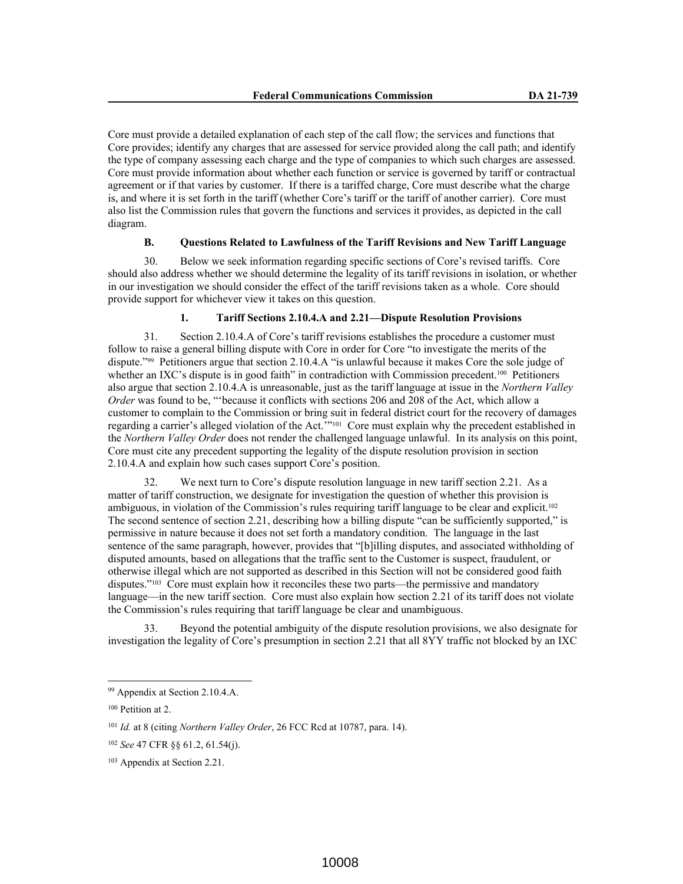Core must provide a detailed explanation of each step of the call flow; the services and functions that Core provides; identify any charges that are assessed for service provided along the call path; and identify the type of company assessing each charge and the type of companies to which such charges are assessed. Core must provide information about whether each function or service is governed by tariff or contractual agreement or if that varies by customer. If there is a tariffed charge, Core must describe what the charge is, and where it is set forth in the tariff (whether Core's tariff or the tariff of another carrier). Core must also list the Commission rules that govern the functions and services it provides, as depicted in the call diagram.

# **B. Questions Related to Lawfulness of the Tariff Revisions and New Tariff Language**

30. Below we seek information regarding specific sections of Core's revised tariffs. Core should also address whether we should determine the legality of its tariff revisions in isolation, or whether in our investigation we should consider the effect of the tariff revisions taken as a whole. Core should provide support for whichever view it takes on this question.

#### **1. Tariff Sections 2.10.4.A and 2.21—Dispute Resolution Provisions**

31. Section 2.10.4.A of Core's tariff revisions establishes the procedure a customer must follow to raise a general billing dispute with Core in order for Core "to investigate the merits of the dispute."99 Petitioners argue that section 2.10.4.A "is unlawful because it makes Core the sole judge of whether an IXC's dispute is in good faith" in contradiction with Commission precedent.<sup>100</sup> Petitioners also argue that section 2.10.4.A is unreasonable, just as the tariff language at issue in the *Northern Valley Order* was found to be, "'because it conflicts with sections 206 and 208 of the Act, which allow a customer to complain to the Commission or bring suit in federal district court for the recovery of damages regarding a carrier's alleged violation of the Act.'"101 Core must explain why the precedent established in the *Northern Valley Order* does not render the challenged language unlawful. In its analysis on this point, Core must cite any precedent supporting the legality of the dispute resolution provision in section 2.10.4.A and explain how such cases support Core's position.

32. We next turn to Core's dispute resolution language in new tariff section 2.21. As a matter of tariff construction, we designate for investigation the question of whether this provision is ambiguous, in violation of the Commission's rules requiring tariff language to be clear and explicit.<sup>102</sup> The second sentence of section 2.21, describing how a billing dispute "can be sufficiently supported," is permissive in nature because it does not set forth a mandatory condition. The language in the last sentence of the same paragraph, however, provides that "[b]illing disputes, and associated withholding of disputed amounts, based on allegations that the traffic sent to the Customer is suspect, fraudulent, or otherwise illegal which are not supported as described in this Section will not be considered good faith disputes."103 Core must explain how it reconciles these two parts—the permissive and mandatory language—in the new tariff section. Core must also explain how section 2.21 of its tariff does not violate the Commission's rules requiring that tariff language be clear and unambiguous.

33. Beyond the potential ambiguity of the dispute resolution provisions, we also designate for investigation the legality of Core's presumption in section 2.21 that all 8YY traffic not blocked by an IXC

<sup>99</sup> Appendix at Section 2.10.4.A.

<sup>100</sup> Petition at 2.

<sup>101</sup> *Id.* at 8 (citing *Northern Valley Order*, 26 FCC Rcd at 10787, para. 14).

<sup>102</sup> *See* 47 CFR §§ 61.2, 61.54(j).

<sup>103</sup> Appendix at Section 2.21.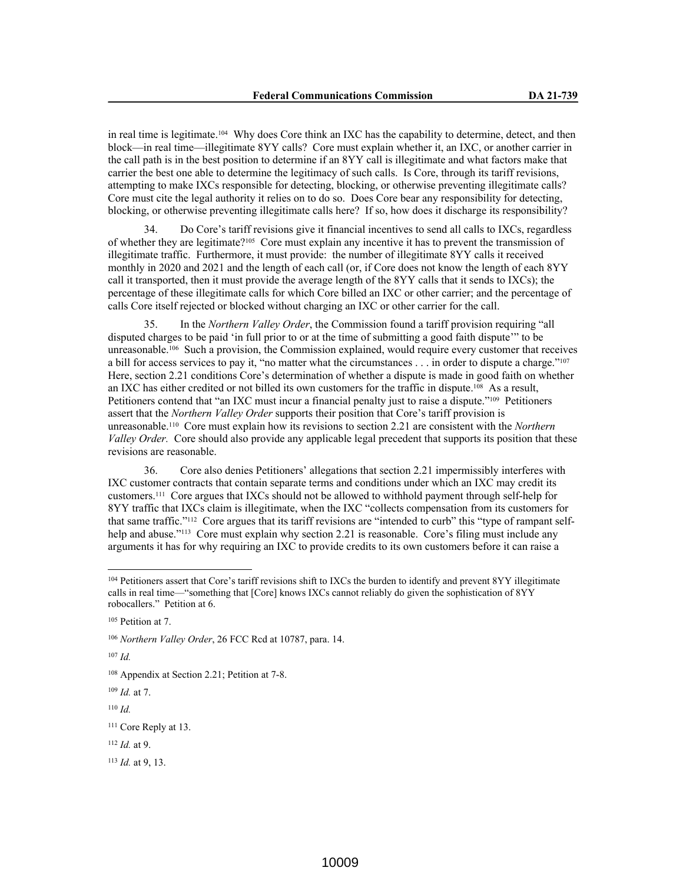in real time is legitimate.104 Why does Core think an IXC has the capability to determine, detect, and then block—in real time—illegitimate 8YY calls? Core must explain whether it, an IXC, or another carrier in the call path is in the best position to determine if an 8YY call is illegitimate and what factors make that carrier the best one able to determine the legitimacy of such calls. Is Core, through its tariff revisions, attempting to make IXCs responsible for detecting, blocking, or otherwise preventing illegitimate calls? Core must cite the legal authority it relies on to do so. Does Core bear any responsibility for detecting, blocking, or otherwise preventing illegitimate calls here? If so, how does it discharge its responsibility?

34. Do Core's tariff revisions give it financial incentives to send all calls to IXCs, regardless of whether they are legitimate?105 Core must explain any incentive it has to prevent the transmission of illegitimate traffic. Furthermore, it must provide: the number of illegitimate 8YY calls it received monthly in 2020 and 2021 and the length of each call (or, if Core does not know the length of each 8YY call it transported, then it must provide the average length of the 8YY calls that it sends to IXCs); the percentage of these illegitimate calls for which Core billed an IXC or other carrier; and the percentage of calls Core itself rejected or blocked without charging an IXC or other carrier for the call.

35. In the *Northern Valley Order*, the Commission found a tariff provision requiring "all disputed charges to be paid 'in full prior to or at the time of submitting a good faith dispute'" to be unreasonable.<sup>106</sup> Such a provision, the Commission explained, would require every customer that receives a bill for access services to pay it, "no matter what the circumstances . . . in order to dispute a charge."<sup>107</sup> Here, section 2.21 conditions Core's determination of whether a dispute is made in good faith on whether an IXC has either credited or not billed its own customers for the traffic in dispute.108 As a result, Petitioners contend that "an IXC must incur a financial penalty just to raise a dispute."109 Petitioners assert that the *Northern Valley Order* supports their position that Core's tariff provision is unreasonable.110 Core must explain how its revisions to section 2.21 are consistent with the *Northern Valley Order.* Core should also provide any applicable legal precedent that supports its position that these revisions are reasonable.

36. Core also denies Petitioners' allegations that section 2.21 impermissibly interferes with IXC customer contracts that contain separate terms and conditions under which an IXC may credit its customers.111 Core argues that IXCs should not be allowed to withhold payment through self-help for 8YY traffic that IXCs claim is illegitimate, when the IXC "collects compensation from its customers for that same traffic."112 Core argues that its tariff revisions are "intended to curb" this "type of rampant selfhelp and abuse."<sup>113</sup> Core must explain why section 2.21 is reasonable. Core's filing must include any arguments it has for why requiring an IXC to provide credits to its own customers before it can raise a

<sup>107</sup> *Id.*

<sup>110</sup> *Id.*

<sup>111</sup> Core Reply at 13.

<sup>112</sup> *Id.* at 9.

<sup>113</sup> *Id.* at 9, 13.

<sup>&</sup>lt;sup>104</sup> Petitioners assert that Core's tariff revisions shift to IXCs the burden to identify and prevent 8YY illegitimate calls in real time—"something that [Core] knows IXCs cannot reliably do given the sophistication of 8YY robocallers." Petition at 6.

<sup>105</sup> Petition at 7.

<sup>106</sup> *Northern Valley Order*, 26 FCC Rcd at 10787, para. 14.

<sup>108</sup> Appendix at Section 2.21; Petition at 7-8.

<sup>109</sup> *Id.* at 7.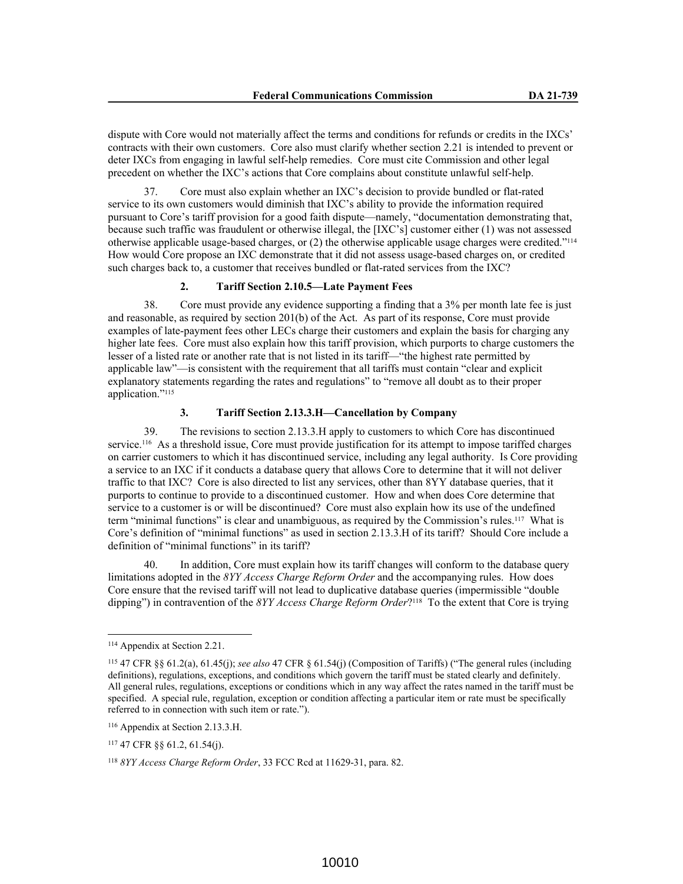dispute with Core would not materially affect the terms and conditions for refunds or credits in the IXCs' contracts with their own customers. Core also must clarify whether section 2.21 is intended to prevent or deter IXCs from engaging in lawful self-help remedies. Core must cite Commission and other legal precedent on whether the IXC's actions that Core complains about constitute unlawful self-help.

37. Core must also explain whether an IXC's decision to provide bundled or flat-rated service to its own customers would diminish that IXC's ability to provide the information required pursuant to Core's tariff provision for a good faith dispute—namely, "documentation demonstrating that, because such traffic was fraudulent or otherwise illegal, the [IXC's] customer either (1) was not assessed otherwise applicable usage-based charges, or (2) the otherwise applicable usage charges were credited."<sup>114</sup> How would Core propose an IXC demonstrate that it did not assess usage-based charges on, or credited such charges back to, a customer that receives bundled or flat-rated services from the IXC?

#### **2. Tariff Section 2.10.5—Late Payment Fees**

38. Core must provide any evidence supporting a finding that a 3% per month late fee is just and reasonable, as required by section 201(b) of the Act. As part of its response, Core must provide examples of late-payment fees other LECs charge their customers and explain the basis for charging any higher late fees. Core must also explain how this tariff provision, which purports to charge customers the lesser of a listed rate or another rate that is not listed in its tariff—"the highest rate permitted by applicable law"—is consistent with the requirement that all tariffs must contain "clear and explicit explanatory statements regarding the rates and regulations" to "remove all doubt as to their proper application."<sup>115</sup>

#### **3. Tariff Section 2.13.3.H—Cancellation by Company**

39. The revisions to section 2.13.3.H apply to customers to which Core has discontinued service.116 As a threshold issue, Core must provide justification for its attempt to impose tariffed charges on carrier customers to which it has discontinued service, including any legal authority. Is Core providing a service to an IXC if it conducts a database query that allows Core to determine that it will not deliver traffic to that IXC? Core is also directed to list any services, other than 8YY database queries, that it purports to continue to provide to a discontinued customer. How and when does Core determine that service to a customer is or will be discontinued? Core must also explain how its use of the undefined term "minimal functions" is clear and unambiguous, as required by the Commission's rules.117 What is Core's definition of "minimal functions" as used in section 2.13.3.H of its tariff? Should Core include a definition of "minimal functions" in its tariff?

40. In addition, Core must explain how its tariff changes will conform to the database query limitations adopted in the *8YY Access Charge Reform Order* and the accompanying rules. How does Core ensure that the revised tariff will not lead to duplicative database queries (impermissible "double dipping") in contravention of the *8YY Access Charge Reform Order*? <sup>118</sup> To the extent that Core is trying

<sup>114</sup> Appendix at Section 2.21.

<sup>115</sup> 47 CFR §§ 61.2(a), 61.45(j); *see also* 47 CFR § 61.54(j) (Composition of Tariffs) ("The general rules (including definitions), regulations, exceptions, and conditions which govern the tariff must be stated clearly and definitely. All general rules, regulations, exceptions or conditions which in any way affect the rates named in the tariff must be specified. A special rule, regulation, exception or condition affecting a particular item or rate must be specifically referred to in connection with such item or rate.").

<sup>116</sup> Appendix at Section 2.13.3.H.

<sup>117</sup> 47 CFR §§ 61.2, 61.54(j).

<sup>118</sup> *8YY Access Charge Reform Order*, 33 FCC Rcd at 11629-31, para. 82.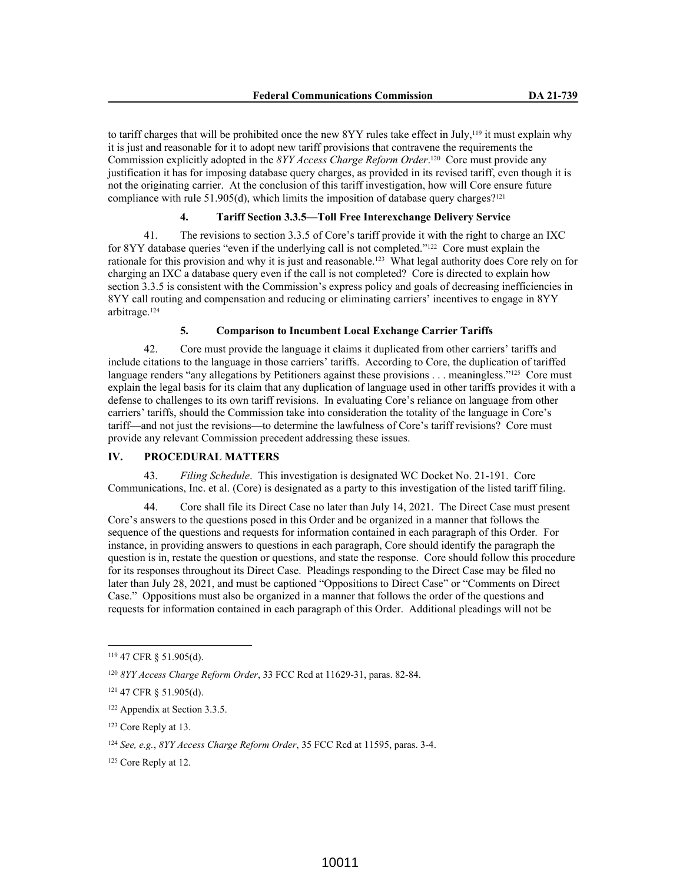to tariff charges that will be prohibited once the new 8YY rules take effect in July,<sup>119</sup> it must explain why it is just and reasonable for it to adopt new tariff provisions that contravene the requirements the Commission explicitly adopted in the *8YY Access Charge Reform Order*. <sup>120</sup> Core must provide any justification it has for imposing database query charges, as provided in its revised tariff, even though it is not the originating carrier. At the conclusion of this tariff investigation, how will Core ensure future compliance with rule  $51.905(d)$ , which limits the imposition of database query charges?<sup>121</sup>

# **4. Tariff Section 3.3.5—Toll Free Interexchange Delivery Service**

41. The revisions to section 3.3.5 of Core's tariff provide it with the right to charge an IXC for 8YY database queries "even if the underlying call is not completed."122 Core must explain the rationale for this provision and why it is just and reasonable.123 What legal authority does Core rely on for charging an IXC a database query even if the call is not completed? Core is directed to explain how section 3.3.5 is consistent with the Commission's express policy and goals of decreasing inefficiencies in 8YY call routing and compensation and reducing or eliminating carriers' incentives to engage in 8YY arbitrage.<sup>124</sup>

## **5. Comparison to Incumbent Local Exchange Carrier Tariffs**

42. Core must provide the language it claims it duplicated from other carriers' tariffs and include citations to the language in those carriers' tariffs. According to Core, the duplication of tariffed language renders "any allegations by Petitioners against these provisions . . . meaningless."<sup>125</sup> Core must explain the legal basis for its claim that any duplication of language used in other tariffs provides it with a defense to challenges to its own tariff revisions. In evaluating Core's reliance on language from other carriers' tariffs, should the Commission take into consideration the totality of the language in Core's tariff—and not just the revisions—to determine the lawfulness of Core's tariff revisions? Core must provide any relevant Commission precedent addressing these issues.

## **IV. PROCEDURAL MATTERS**

43. *Filing Schedule*. This investigation is designated WC Docket No. 21-191. Core Communications, Inc. et al. (Core) is designated as a party to this investigation of the listed tariff filing.

44. Core shall file its Direct Case no later than July 14, 2021. The Direct Case must present Core's answers to the questions posed in this Order and be organized in a manner that follows the sequence of the questions and requests for information contained in each paragraph of this Order*.* For instance, in providing answers to questions in each paragraph, Core should identify the paragraph the question is in, restate the question or questions, and state the response. Core should follow this procedure for its responses throughout its Direct Case. Pleadings responding to the Direct Case may be filed no later than July 28, 2021, and must be captioned "Oppositions to Direct Case" or "Comments on Direct Case." Oppositions must also be organized in a manner that follows the order of the questions and requests for information contained in each paragraph of this Order. Additional pleadings will not be

<sup>119</sup> 47 CFR § 51.905(d).

<sup>120</sup> *8YY Access Charge Reform Order*, 33 FCC Rcd at 11629-31, paras. 82-84.

<sup>121</sup> 47 CFR § 51.905(d).

<sup>122</sup> Appendix at Section 3.3.5.

<sup>123</sup> Core Reply at 13.

<sup>124</sup> *See, e.g.*, *8YY Access Charge Reform Order*, 35 FCC Rcd at 11595, paras. 3-4.

<sup>125</sup> Core Reply at 12.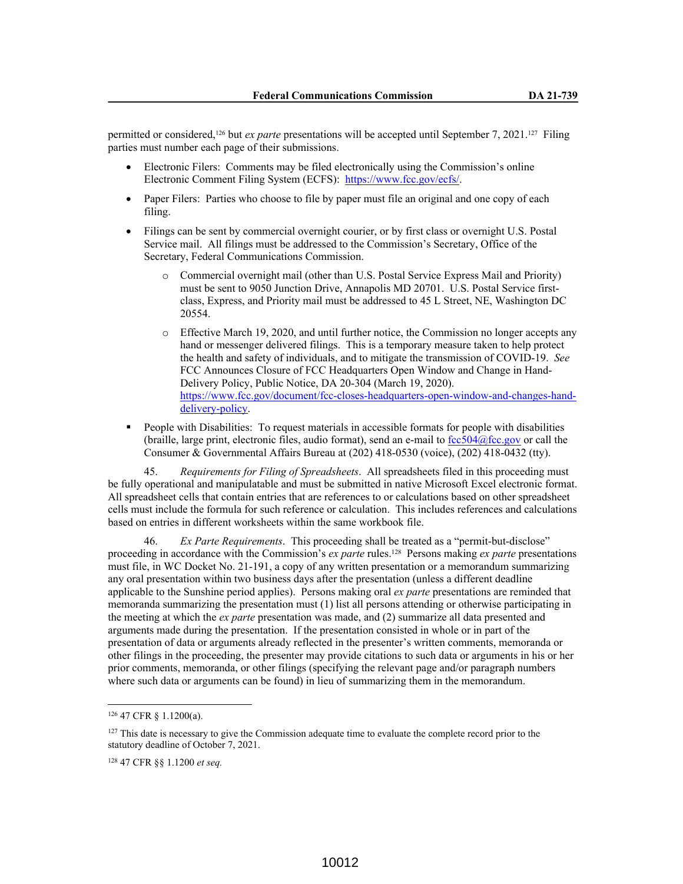permitted or considered,<sup>126</sup> but *ex parte* presentations will be accepted until September 7, 2021.<sup>127</sup> Filing parties must number each page of their submissions.

- Electronic Filers: Comments may be filed electronically using the Commission's online Electronic Comment Filing System (ECFS): https://www.fcc.gov/ecfs/.
- Paper Filers: Parties who choose to file by paper must file an original and one copy of each filing.
- Filings can be sent by commercial overnight courier, or by first class or overnight U.S. Postal Service mail. All filings must be addressed to the Commission's Secretary, Office of the Secretary, Federal Communications Commission.
	- o Commercial overnight mail (other than U.S. Postal Service Express Mail and Priority) must be sent to 9050 Junction Drive, Annapolis MD 20701. U.S. Postal Service firstclass, Express, and Priority mail must be addressed to 45 L Street, NE, Washington DC 20554.
	- o Effective March 19, 2020, and until further notice, the Commission no longer accepts any hand or messenger delivered filings. This is a temporary measure taken to help protect the health and safety of individuals, and to mitigate the transmission of COVID-19. *See* FCC Announces Closure of FCC Headquarters Open Window and Change in Hand-Delivery Policy, Public Notice, DA 20-304 (March 19, 2020). https://www.fcc.gov/document/fcc-closes-headquarters-open-window-and-changes-handdelivery-policy.
- People with Disabilities: To request materials in accessible formats for people with disabilities (braille, large print, electronic files, audio format), send an e-mail to fcc504@fcc.gov or call the Consumer & Governmental Affairs Bureau at (202) 418-0530 (voice), (202) 418-0432 (tty).

45. *Requirements for Filing of Spreadsheets*. All spreadsheets filed in this proceeding must be fully operational and manipulatable and must be submitted in native Microsoft Excel electronic format. All spreadsheet cells that contain entries that are references to or calculations based on other spreadsheet cells must include the formula for such reference or calculation. This includes references and calculations based on entries in different worksheets within the same workbook file.

46. *Ex Parte Requirements*. This proceeding shall be treated as a "permit-but-disclose" proceeding in accordance with the Commission's *ex parte* rules.128 Persons making *ex parte* presentations must file, in WC Docket No. 21-191, a copy of any written presentation or a memorandum summarizing any oral presentation within two business days after the presentation (unless a different deadline applicable to the Sunshine period applies). Persons making oral *ex parte* presentations are reminded that memoranda summarizing the presentation must (1) list all persons attending or otherwise participating in the meeting at which the *ex parte* presentation was made, and (2) summarize all data presented and arguments made during the presentation. If the presentation consisted in whole or in part of the presentation of data or arguments already reflected in the presenter's written comments, memoranda or other filings in the proceeding, the presenter may provide citations to such data or arguments in his or her prior comments, memoranda, or other filings (specifying the relevant page and/or paragraph numbers where such data or arguments can be found) in lieu of summarizing them in the memorandum.

<sup>126</sup> 47 CFR § 1.1200(a).

<sup>&</sup>lt;sup>127</sup> This date is necessary to give the Commission adequate time to evaluate the complete record prior to the statutory deadline of October 7, 2021.

<sup>128</sup> 47 CFR §§ 1.1200 *et seq.*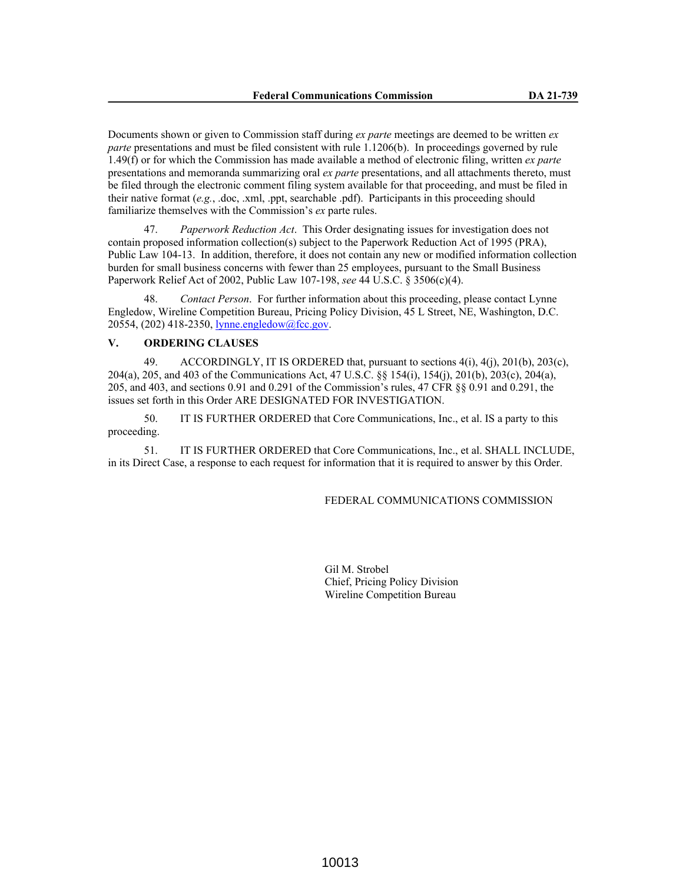Documents shown or given to Commission staff during *ex parte* meetings are deemed to be written *ex parte* presentations and must be filed consistent with rule 1.1206(b). In proceedings governed by rule 1.49(f) or for which the Commission has made available a method of electronic filing, written *ex parte*  presentations and memoranda summarizing oral *ex parte* presentations, and all attachments thereto, must be filed through the electronic comment filing system available for that proceeding, and must be filed in their native format (*e.g.*, .doc, .xml, .ppt, searchable .pdf). Participants in this proceeding should familiarize themselves with the Commission's *ex* parte rules.

47. *Paperwork Reduction Act*. This Order designating issues for investigation does not contain proposed information collection(s) subject to the Paperwork Reduction Act of 1995 (PRA), Public Law 104-13. In addition, therefore, it does not contain any new or modified information collection burden for small business concerns with fewer than 25 employees, pursuant to the Small Business Paperwork Relief Act of 2002, Public Law 107-198, *see* 44 U.S.C. § 3506(c)(4).

48. *Contact Person*. For further information about this proceeding, please contact Lynne Engledow, Wireline Competition Bureau, Pricing Policy Division, 45 L Street, NE, Washington, D.C. 20554, (202) 418-2350, lynne.engledow@fcc.gov.

# **V. ORDERING CLAUSES**

49. ACCORDINGLY, IT IS ORDERED that, pursuant to sections 4(i), 4(j), 201(b), 203(c), 204(a), 205, and 403 of the Communications Act, 47 U.S.C. §§ 154(i), 154(j), 201(b), 203(c), 204(a), 205, and 403, and sections 0.91 and 0.291 of the Commission's rules, 47 CFR §§ 0.91 and 0.291, the issues set forth in this Order ARE DESIGNATED FOR INVESTIGATION.

50. IT IS FURTHER ORDERED that Core Communications, Inc., et al. IS a party to this proceeding.

51. IT IS FURTHER ORDERED that Core Communications, Inc., et al. SHALL INCLUDE, in its Direct Case, a response to each request for information that it is required to answer by this Order.

#### FEDERAL COMMUNICATIONS COMMISSION

Gil M. Strobel Chief, Pricing Policy Division Wireline Competition Bureau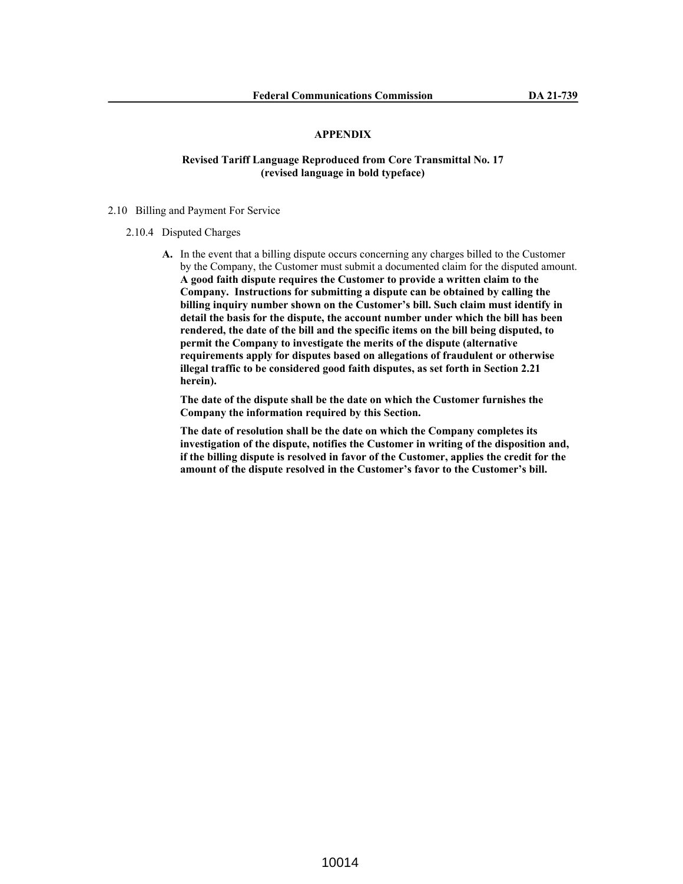# **APPENDIX**

# **Revised Tariff Language Reproduced from Core Transmittal No. 17 (revised language in bold typeface)**

- 2.10 Billing and Payment For Service
	- 2.10.4 Disputed Charges
		- **A.** In the event that a billing dispute occurs concerning any charges billed to the Customer by the Company, the Customer must submit a documented claim for the disputed amount. **A good faith dispute requires the Customer to provide a written claim to the Company. Instructions for submitting a dispute can be obtained by calling the billing inquiry number shown on the Customer's bill. Such claim must identify in detail the basis for the dispute, the account number under which the bill has been rendered, the date of the bill and the specific items on the bill being disputed, to permit the Company to investigate the merits of the dispute (alternative requirements apply for disputes based on allegations of fraudulent or otherwise illegal traffic to be considered good faith disputes, as set forth in Section 2.21 herein).**

**The date of the dispute shall be the date on which the Customer furnishes the Company the information required by this Section.** 

**The date of resolution shall be the date on which the Company completes its investigation of the dispute, notifies the Customer in writing of the disposition and, if the billing dispute is resolved in favor of the Customer, applies the credit for the amount of the dispute resolved in the Customer's favor to the Customer's bill.**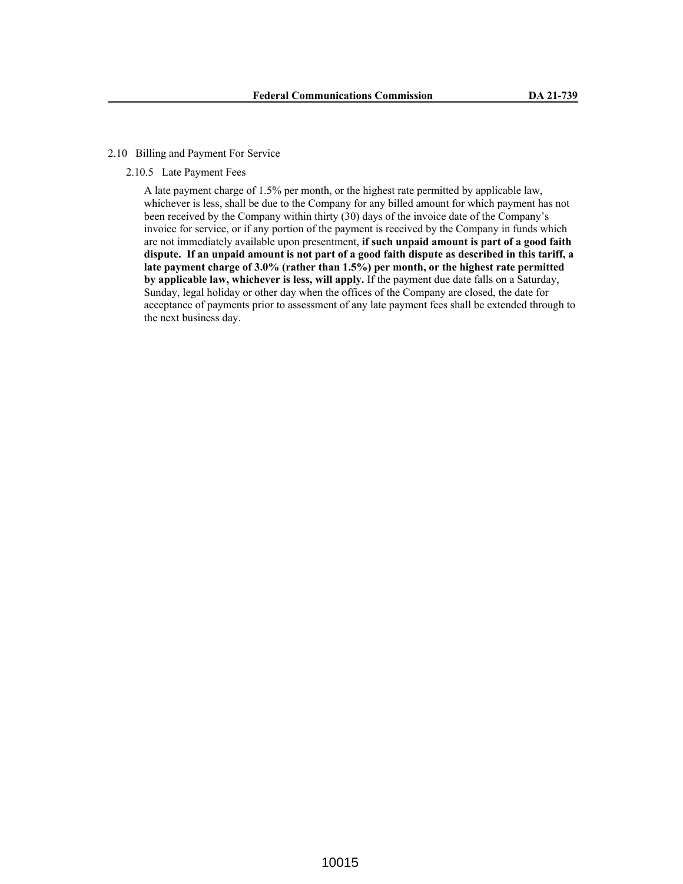## 2.10 Billing and Payment For Service

# 2.10.5 Late Payment Fees

A late payment charge of 1.5% per month, or the highest rate permitted by applicable law, whichever is less, shall be due to the Company for any billed amount for which payment has not been received by the Company within thirty (30) days of the invoice date of the Company's invoice for service, or if any portion of the payment is received by the Company in funds which are not immediately available upon presentment, **if such unpaid amount is part of a good faith dispute. If an unpaid amount is not part of a good faith dispute as described in this tariff, a late payment charge of 3.0% (rather than 1.5%) per month, or the highest rate permitted by applicable law, whichever is less, will apply.** If the payment due date falls on a Saturday, Sunday, legal holiday or other day when the offices of the Company are closed, the date for acceptance of payments prior to assessment of any late payment fees shall be extended through to the next business day.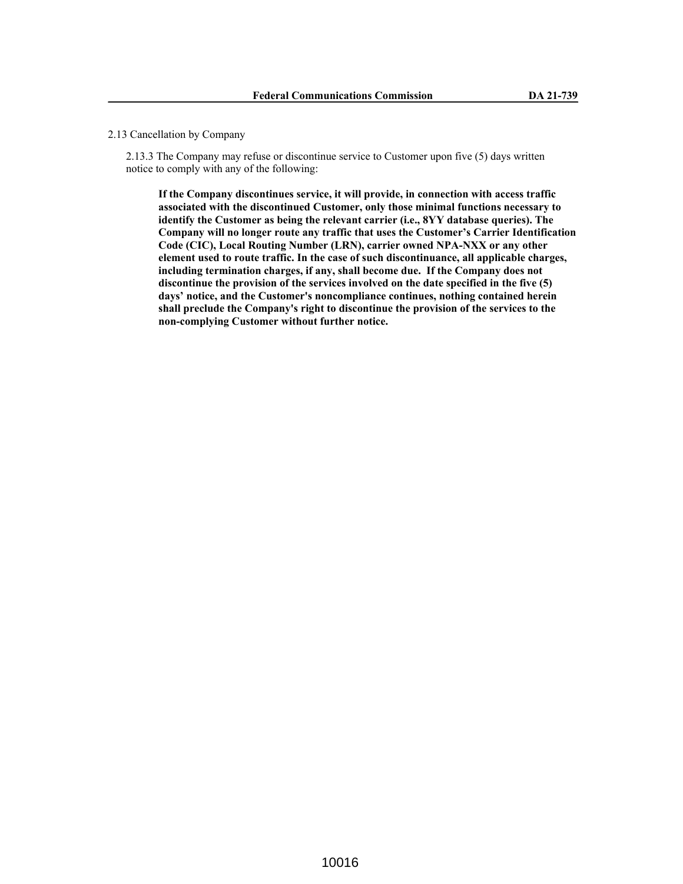## 2.13 Cancellation by Company

2.13.3 The Company may refuse or discontinue service to Customer upon five (5) days written notice to comply with any of the following:

**If the Company discontinues service, it will provide, in connection with access traffic associated with the discontinued Customer, only those minimal functions necessary to identify the Customer as being the relevant carrier (i.e., 8YY database queries). The Company will no longer route any traffic that uses the Customer's Carrier Identification Code (CIC), Local Routing Number (LRN), carrier owned NPA-NXX or any other element used to route traffic. In the case of such discontinuance, all applicable charges, including termination charges, if any, shall become due. If the Company does not discontinue the provision of the services involved on the date specified in the five (5) days' notice, and the Customer's noncompliance continues, nothing contained herein shall preclude the Company's right to discontinue the provision of the services to the non-complying Customer without further notice.**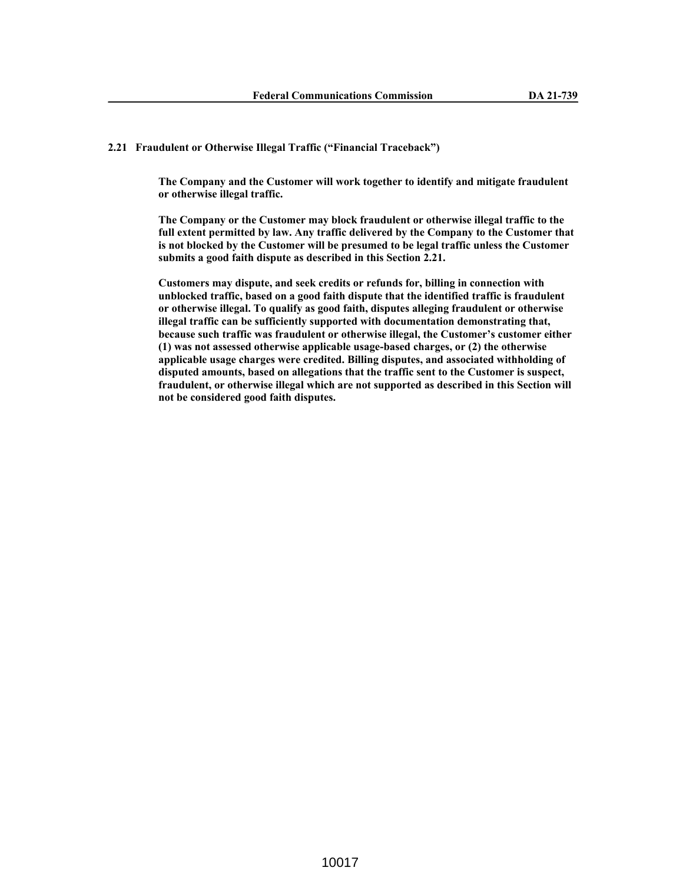# **2.21 Fraudulent or Otherwise Illegal Traffic ("Financial Traceback")**

**The Company and the Customer will work together to identify and mitigate fraudulent or otherwise illegal traffic.**

**The Company or the Customer may block fraudulent or otherwise illegal traffic to the full extent permitted by law. Any traffic delivered by the Company to the Customer that is not blocked by the Customer will be presumed to be legal traffic unless the Customer submits a good faith dispute as described in this Section 2.21.**

**Customers may dispute, and seek credits or refunds for, billing in connection with unblocked traffic, based on a good faith dispute that the identified traffic is fraudulent or otherwise illegal. To qualify as good faith, disputes alleging fraudulent or otherwise illegal traffic can be sufficiently supported with documentation demonstrating that, because such traffic was fraudulent or otherwise illegal, the Customer's customer either (1) was not assessed otherwise applicable usage-based charges, or (2) the otherwise applicable usage charges were credited. Billing disputes, and associated withholding of disputed amounts, based on allegations that the traffic sent to the Customer is suspect, fraudulent, or otherwise illegal which are not supported as described in this Section will not be considered good faith disputes.**